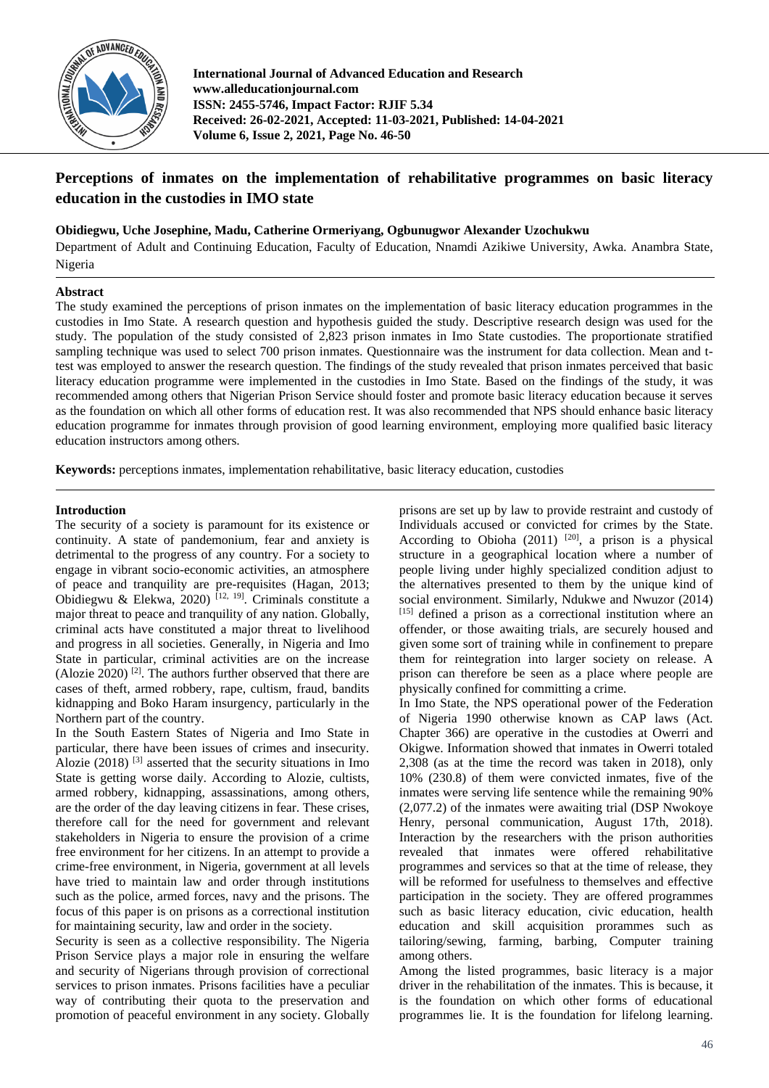

**International Journal of Advanced Education and Research www.alleducationjournal.com ISSN: 2455-5746, Impact Factor: RJIF 5.34 Received: 26-02-2021, Accepted: 11-03-2021, Published: 14-04-2021 Volume 6, Issue 2, 2021, Page No. 46-50**

# **Perceptions of inmates on the implementation of rehabilitative programmes on basic literacy education in the custodies in IMO state**

# **Obidiegwu, Uche Josephine, Madu, Catherine Ormeriyang, Ogbunugwor Alexander Uzochukwu**

Department of Adult and Continuing Education, Faculty of Education, Nnamdi Azikiwe University, Awka. Anambra State, Nigeria

# **Abstract**

The study examined the perceptions of prison inmates on the implementation of basic literacy education programmes in the custodies in Imo State. A research question and hypothesis guided the study. Descriptive research design was used for the study. The population of the study consisted of 2,823 prison inmates in Imo State custodies. The proportionate stratified sampling technique was used to select 700 prison inmates. Questionnaire was the instrument for data collection. Mean and ttest was employed to answer the research question. The findings of the study revealed that prison inmates perceived that basic literacy education programme were implemented in the custodies in Imo State. Based on the findings of the study, it was recommended among others that Nigerian Prison Service should foster and promote basic literacy education because it serves as the foundation on which all other forms of education rest. It was also recommended that NPS should enhance basic literacy education programme for inmates through provision of good learning environment, employing more qualified basic literacy education instructors among others.

**Keywords:** perceptions inmates, implementation rehabilitative, basic literacy education, custodies

# **Introduction**

The security of a society is paramount for its existence or continuity. A state of pandemonium, fear and anxiety is detrimental to the progress of any country. For a society to engage in vibrant socio-economic activities, an atmosphere of peace and tranquility are pre-requisites (Hagan, 2013; Obidiegwu & Elekwa, 2020) [12, 19]. Criminals constitute a major threat to peace and tranquility of any nation. Globally, criminal acts have constituted a major threat to livelihood and progress in all societies. Generally, in Nigeria and Imo State in particular, criminal activities are on the increase (Alozie  $2020$ )<sup>[2]</sup>. The authors further observed that there are cases of theft, armed robbery, rape, cultism, fraud, bandits kidnapping and Boko Haram insurgency, particularly in the Northern part of the country.

In the South Eastern States of Nigeria and Imo State in particular, there have been issues of crimes and insecurity. Alozie (2018)  $^{[3]}$  asserted that the security situations in Imo State is getting worse daily. According to Alozie, cultists, armed robbery, kidnapping, assassinations, among others, are the order of the day leaving citizens in fear. These crises, therefore call for the need for government and relevant stakeholders in Nigeria to ensure the provision of a crime free environment for her citizens. In an attempt to provide a crime-free environment, in Nigeria, government at all levels have tried to maintain law and order through institutions such as the police, armed forces, navy and the prisons. The focus of this paper is on prisons as a correctional institution for maintaining security, law and order in the society.

Security is seen as a collective responsibility. The Nigeria Prison Service plays a major role in ensuring the welfare and security of Nigerians through provision of correctional services to prison inmates. Prisons facilities have a peculiar way of contributing their quota to the preservation and promotion of peaceful environment in any society. Globally

prisons are set up by law to provide restraint and custody of Individuals accused or convicted for crimes by the State. According to Obioha  $(2011)$  <sup>[20]</sup>, a prison is a physical structure in a geographical location where a number of people living under highly specialized condition adjust to the alternatives presented to them by the unique kind of social environment. Similarly, Ndukwe and Nwuzor (2014) [15] defined a prison as a correctional institution where an offender, or those awaiting trials, are securely housed and given some sort of training while in confinement to prepare them for reintegration into larger society on release. A prison can therefore be seen as a place where people are physically confined for committing a crime.

In Imo State, the NPS operational power of the Federation of Nigeria 1990 otherwise known as CAP laws (Act. Chapter 366) are operative in the custodies at Owerri and Okigwe. Information showed that inmates in Owerri totaled 2,308 (as at the time the record was taken in 2018), only 10% (230.8) of them were convicted inmates, five of the inmates were serving life sentence while the remaining 90% (2,077.2) of the inmates were awaiting trial (DSP Nwokoye Henry, personal communication, August 17th, 2018). Interaction by the researchers with the prison authorities revealed that inmates were offered rehabilitative programmes and services so that at the time of release, they will be reformed for usefulness to themselves and effective participation in the society. They are offered programmes such as basic literacy education, civic education, health education and skill acquisition prorammes such as tailoring/sewing, farming, barbing, Computer training among others.

Among the listed programmes, basic literacy is a major driver in the rehabilitation of the inmates. This is because, it is the foundation on which other forms of educational programmes lie. It is the foundation for lifelong learning.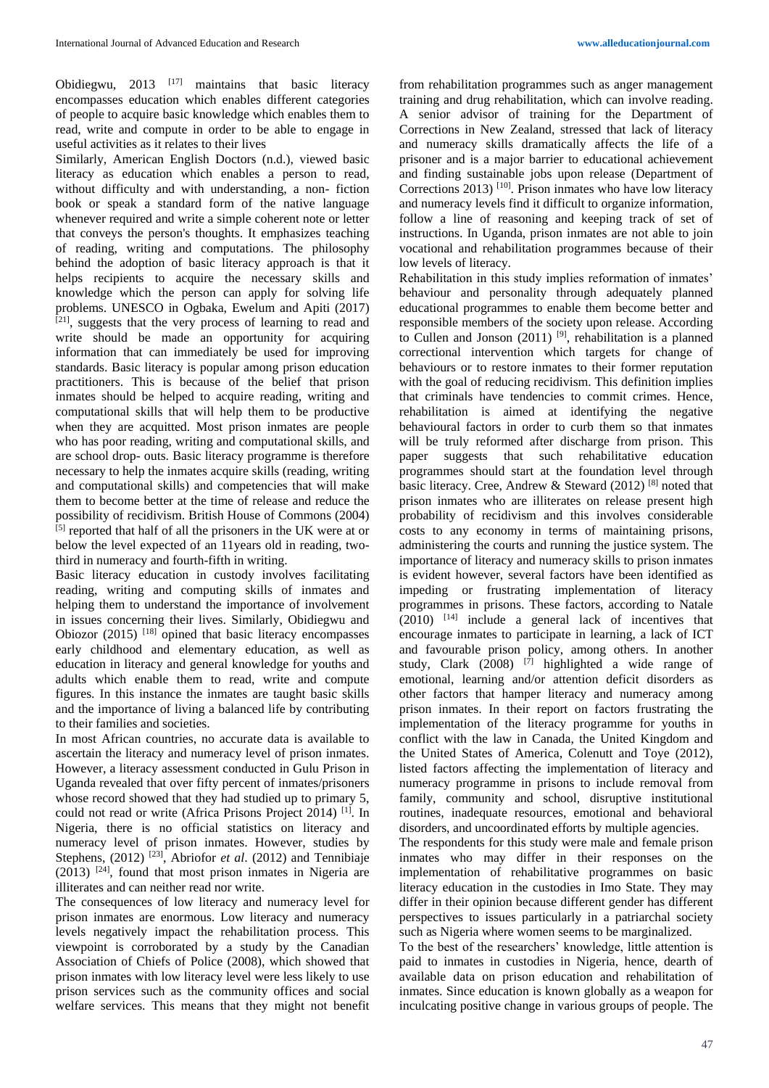Obidiegwu,  $2013$  <sup>[17]</sup> maintains that basic literacy encompasses education which enables different categories of people to acquire basic knowledge which enables them to read, write and compute in order to be able to engage in useful activities as it relates to their lives

Similarly, American English Doctors (n.d.), viewed basic literacy as education which enables a person to read, without difficulty and with understanding, a non- fiction book or speak a standard form of the native language whenever required and write a simple coherent note or letter that conveys the person's thoughts. It emphasizes teaching of reading, writing and computations. The philosophy behind the adoption of basic literacy approach is that it helps recipients to acquire the necessary skills and knowledge which the person can apply for solving life problems. UNESCO in Ogbaka, Ewelum and Apiti (2017) [21], suggests that the very process of learning to read and write should be made an opportunity for acquiring information that can immediately be used for improving standards. Basic literacy is popular among prison education practitioners. This is because of the belief that prison inmates should be helped to acquire reading, writing and computational skills that will help them to be productive when they are acquitted. Most prison inmates are people who has poor reading, writing and computational skills, and are school drop- outs. Basic literacy programme is therefore necessary to help the inmates acquire skills (reading, writing and computational skills) and competencies that will make them to become better at the time of release and reduce the possibility of recidivism. British House of Commons (2004) [5] reported that half of all the prisoners in the UK were at or below the level expected of an 11years old in reading, twothird in numeracy and fourth-fifth in writing.

Basic literacy education in custody involves facilitating reading, writing and computing skills of inmates and helping them to understand the importance of involvement in issues concerning their lives. Similarly, Obidiegwu and Obiozor  $(2015)$ <sup>[18]</sup> opined that basic literacy encompasses early childhood and elementary education, as well as education in literacy and general knowledge for youths and adults which enable them to read, write and compute figures. In this instance the inmates are taught basic skills and the importance of living a balanced life by contributing to their families and societies.

In most African countries, no accurate data is available to ascertain the literacy and numeracy level of prison inmates. However, a literacy assessment conducted in Gulu Prison in Uganda revealed that over fifty percent of inmates/prisoners whose record showed that they had studied up to primary 5, could not read or write (Africa Prisons Project 2014) [1]. In Nigeria, there is no official statistics on literacy and numeracy level of prison inmates. However, studies by Stephens, (2012) <sup>[23]</sup>, Abriofor *et al.* (2012) and Tennibiaje  $(2013)$  <sup>[24]</sup>, found that most prison inmates in Nigeria are illiterates and can neither read nor write.

The consequences of low literacy and numeracy level for prison inmates are enormous. Low literacy and numeracy levels negatively impact the rehabilitation process. This viewpoint is corroborated by a study by the Canadian Association of Chiefs of Police (2008), which showed that prison inmates with low literacy level were less likely to use prison services such as the community offices and social welfare services. This means that they might not benefit from rehabilitation programmes such as anger management training and drug rehabilitation, which can involve reading. A senior advisor of training for the Department of Corrections in New Zealand, stressed that lack of literacy and numeracy skills dramatically affects the life of a prisoner and is a major barrier to educational achievement and finding sustainable jobs upon release (Department of Corrections 2013)  $[10]$ . Prison inmates who have low literacy and numeracy levels find it difficult to organize information, follow a line of reasoning and keeping track of set of instructions. In Uganda, prison inmates are not able to join vocational and rehabilitation programmes because of their low levels of literacy.

Rehabilitation in this study implies reformation of inmates' behaviour and personality through adequately planned educational programmes to enable them become better and responsible members of the society upon release. According to Cullen and Jonson  $(2011)$  <sup>[9]</sup>, rehabilitation is a planned correctional intervention which targets for change of behaviours or to restore inmates to their former reputation with the goal of reducing recidivism. This definition implies that criminals have tendencies to commit crimes. Hence, rehabilitation is aimed at identifying the negative behavioural factors in order to curb them so that inmates will be truly reformed after discharge from prison. This paper suggests that such rehabilitative education programmes should start at the foundation level through basic literacy. Cree, Andrew & Steward (2012) [8] noted that prison inmates who are illiterates on release present high probability of recidivism and this involves considerable costs to any economy in terms of maintaining prisons, administering the courts and running the justice system. The importance of literacy and numeracy skills to prison inmates is evident however, several factors have been identified as impeding or frustrating implementation of literacy programmes in prisons. These factors, according to Natale  $(2010)$  <sup>[14]</sup> include a general lack of incentives that encourage inmates to participate in learning, a lack of ICT and favourable prison policy, among others. In another study, Clark  $(2008)$ <sup>[7]</sup> highlighted a wide range of emotional, learning and/or attention deficit disorders as other factors that hamper literacy and numeracy among prison inmates. In their report on factors frustrating the implementation of the literacy programme for youths in conflict with the law in Canada, the United Kingdom and the United States of America, Colenutt and Toye (2012), listed factors affecting the implementation of literacy and numeracy programme in prisons to include removal from family, community and school, disruptive institutional routines, inadequate resources, emotional and behavioral disorders, and uncoordinated efforts by multiple agencies.

The respondents for this study were male and female prison inmates who may differ in their responses on the implementation of rehabilitative programmes on basic literacy education in the custodies in Imo State. They may differ in their opinion because different gender has different perspectives to issues particularly in a patriarchal society such as Nigeria where women seems to be marginalized.

To the best of the researchers' knowledge, little attention is paid to inmates in custodies in Nigeria, hence, dearth of available data on prison education and rehabilitation of inmates. Since education is known globally as a weapon for inculcating positive change in various groups of people. The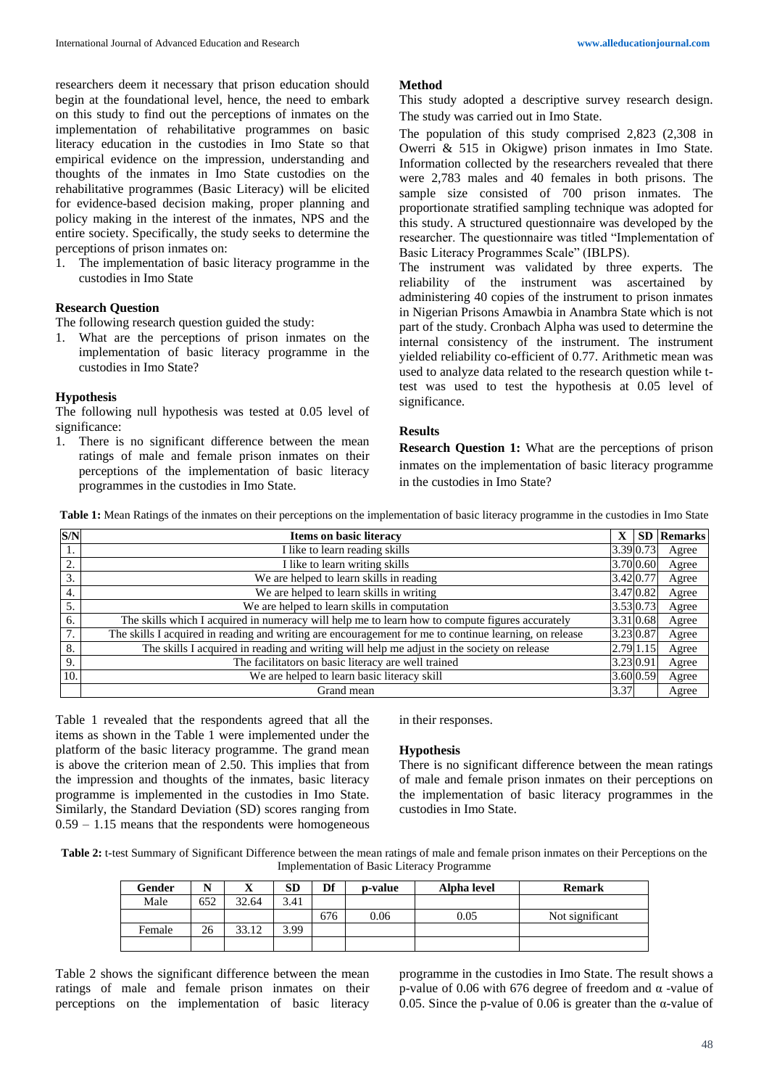researchers deem it necessary that prison education should begin at the foundational level, hence, the need to embark on this study to find out the perceptions of inmates on the implementation of rehabilitative programmes on basic literacy education in the custodies in Imo State so that empirical evidence on the impression, understanding and thoughts of the inmates in Imo State custodies on the rehabilitative programmes (Basic Literacy) will be elicited for evidence-based decision making, proper planning and policy making in the interest of the inmates, NPS and the entire society. Specifically, the study seeks to determine the perceptions of prison inmates on:

1. The implementation of basic literacy programme in the custodies in Imo State

# **Research Question**

The following research question guided the study:

1. What are the perceptions of prison inmates on the implementation of basic literacy programme in the custodies in Imo State?

# **Hypothesis**

The following null hypothesis was tested at 0.05 level of significance:

1. There is no significant difference between the mean ratings of male and female prison inmates on their perceptions of the implementation of basic literacy programmes in the custodies in Imo State.

#### **Method**

This study adopted a descriptive survey research design. The study was carried out in Imo State.

The population of this study comprised 2,823 (2,308 in Owerri & 515 in Okigwe) prison inmates in Imo State. Information collected by the researchers revealed that there were 2,783 males and 40 females in both prisons. The sample size consisted of 700 prison inmates. The proportionate stratified sampling technique was adopted for this study. A structured questionnaire was developed by the researcher. The questionnaire was titled "Implementation of Basic Literacy Programmes Scale" (IBLPS).

The instrument was validated by three experts. The reliability of the instrument was ascertained by administering 40 copies of the instrument to prison inmates in Nigerian Prisons Amawbia in Anambra State which is not part of the study. Cronbach Alpha was used to determine the internal consistency of the instrument. The instrument yielded reliability co-efficient of 0.77. Arithmetic mean was used to analyze data related to the research question while ttest was used to test the hypothesis at 0.05 level of significance.

# **Results**

**Research Question 1:** What are the perceptions of prison inmates on the implementation of basic literacy programme in the custodies in Imo State?

**Table 1:** Mean Ratings of the inmates on their perceptions on the implementation of basic literacy programme in the custodies in Imo State

| S/N | Items on basic literacy                                                                                | $\mathbf x$ |           | <b>SD</b> Remarks |
|-----|--------------------------------------------------------------------------------------------------------|-------------|-----------|-------------------|
| 1.  | I like to learn reading skills                                                                         | 3.39 0.73   |           | Agree             |
| 2.  | I like to learn writing skills                                                                         | 3.70 0.60   |           | Agree             |
| 3.  | We are helped to learn skills in reading                                                               | 3.42 0.77   |           | Agree             |
| 4.  | We are helped to learn skills in writing                                                               | 3.47 0.82   |           | Agree             |
| 5.  | We are helped to learn skills in computation                                                           | 3.53 0.73   |           | Agree             |
| 6.  | The skills which I acquired in numeracy will help me to learn how to compute figures accurately        | 3.31 0.68   |           | Agree             |
| 7.  | The skills I acquired in reading and writing are encouragement for me to continue learning, on release |             | 3.23 0.87 | Agree             |
| 8.  | The skills I acquired in reading and writing will help me adjust in the society on release             | 2.79 1.15   |           | Agree             |
| 9.  | The facilitators on basic literacy are well trained                                                    |             | 3.23 0.91 | Agree             |
| 10. | We are helped to learn basic literacy skill                                                            | 3.60 0.59   |           | Agree             |
|     | Grand mean                                                                                             | 3.37        |           | Agree             |

Table 1 revealed that the respondents agreed that all the items as shown in the Table 1 were implemented under the platform of the basic literacy programme. The grand mean is above the criterion mean of 2.50. This implies that from the impression and thoughts of the inmates, basic literacy programme is implemented in the custodies in Imo State. Similarly, the Standard Deviation (SD) scores ranging from 0.59 – 1.15 means that the respondents were homogeneous

#### in their responses.

# **Hypothesis**

There is no significant difference between the mean ratings of male and female prison inmates on their perceptions on the implementation of basic literacy programmes in the custodies in Imo State.

Table 2: t-test Summary of Significant Difference between the mean ratings of male and female prison inmates on their Perceptions on the Implementation of Basic Literacy Programme

| Gender |     | ◢     | cn<br>эv | Df  | p-value | Alpha level | <b>Remark</b>   |
|--------|-----|-------|----------|-----|---------|-------------|-----------------|
| Male   | 652 | 32.64 | 3.41     |     |         |             |                 |
|        |     |       |          | 676 | 0.06    | 0.05        | Not significant |
| Female | 26  | 33.12 | 3.99     |     |         |             |                 |
|        |     |       |          |     |         |             |                 |

Table 2 shows the significant difference between the mean ratings of male and female prison inmates on their perceptions on the implementation of basic literacy programme in the custodies in Imo State. The result shows a p-value of 0.06 with 676 degree of freedom and α -value of 0.05. Since the p-value of 0.06 is greater than the α-value of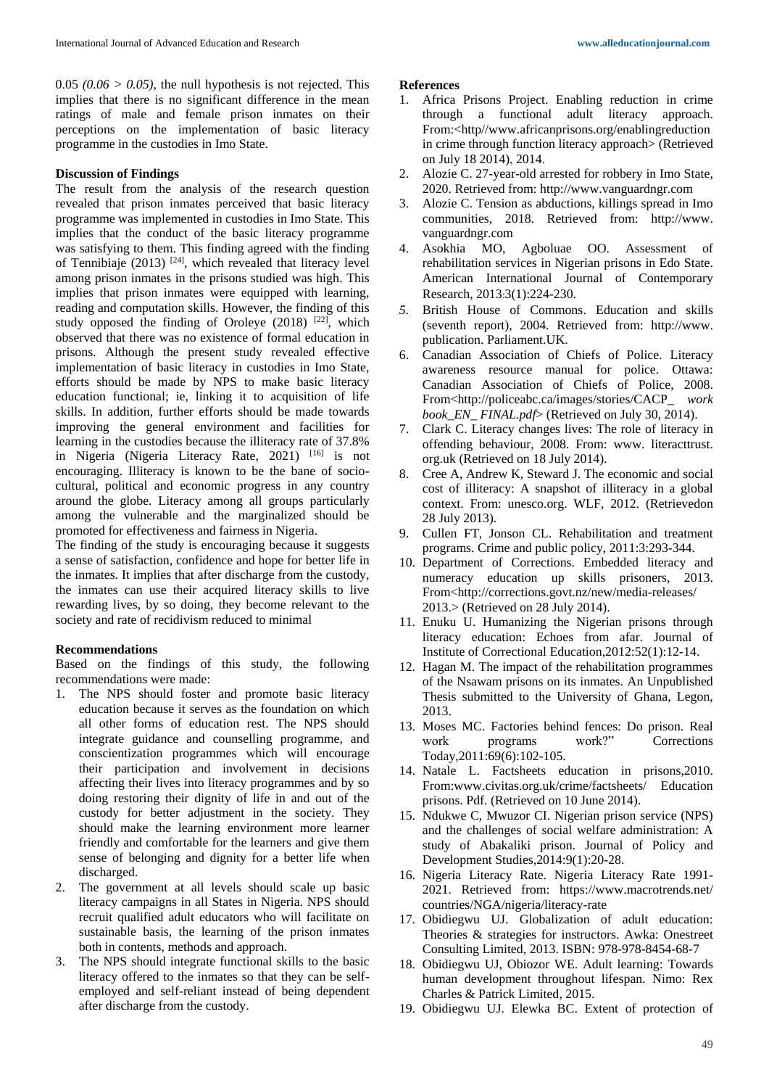$0.05$  ( $0.06 > 0.05$ ), the null hypothesis is not rejected. This implies that there is no significant difference in the mean ratings of male and female prison inmates on their perceptions on the implementation of basic literacy programme in the custodies in Imo State.

# **Discussion of Findings**

The result from the analysis of the research question revealed that prison inmates perceived that basic literacy programme was implemented in custodies in Imo State. This implies that the conduct of the basic literacy programme was satisfying to them. This finding agreed with the finding of Tennibiaje (2013)  $[24]$ , which revealed that literacy level among prison inmates in the prisons studied was high. This implies that prison inmates were equipped with learning, reading and computation skills. However, the finding of this study opposed the finding of Oroleye  $(2018)$ <sup>[22]</sup>, which observed that there was no existence of formal education in prisons. Although the present study revealed effective implementation of basic literacy in custodies in Imo State, efforts should be made by NPS to make basic literacy education functional; ie, linking it to acquisition of life skills. In addition, further efforts should be made towards improving the general environment and facilities for learning in the custodies because the illiteracy rate of 37.8% in Nigeria (Nigeria Literacy Rate, 2021) [16] is not encouraging. Illiteracy is known to be the bane of sociocultural, political and economic progress in any country around the globe. Literacy among all groups particularly among the vulnerable and the marginalized should be promoted for effectiveness and fairness in Nigeria.

The finding of the study is encouraging because it suggests a sense of satisfaction, confidence and hope for better life in the inmates. It implies that after discharge from the custody, the inmates can use their acquired literacy skills to live rewarding lives, by so doing, they become relevant to the society and rate of recidivism reduced to minimal

# **Recommendations**

Based on the findings of this study, the following recommendations were made:

- 1. The NPS should foster and promote basic literacy education because it serves as the foundation on which all other forms of education rest. The NPS should integrate guidance and counselling programme, and conscientization programmes which will encourage their participation and involvement in decisions affecting their lives into literacy programmes and by so doing restoring their dignity of life in and out of the custody for better adjustment in the society. They should make the learning environment more learner friendly and comfortable for the learners and give them sense of belonging and dignity for a better life when discharged.
- 2. The government at all levels should scale up basic literacy campaigns in all States in Nigeria. NPS should recruit qualified adult educators who will facilitate on sustainable basis, the learning of the prison inmates both in contents, methods and approach.
- 3. The NPS should integrate functional skills to the basic literacy offered to the inmates so that they can be selfemployed and self-reliant instead of being dependent after discharge from the custody.

#### **References**

- 1. Africa Prisons Project. Enabling reduction in crime through a functional adult literacy approach. From:<http//www.africanprisons.org/enablingreduction in crime through function literacy approach> (Retrieved on July 18 2014), 2014.
- 2. Alozie C. 27-year-old arrested for robbery in Imo State, 2020. Retrieved from: http://www.vanguardngr.com
- 3. Alozie C. Tension as abductions, killings spread in Imo communities, 2018. Retrieved from: http://www. vanguardngr.com
- 4. Asokhia MO, Agboluae OO. Assessment of rehabilitation services in Nigerian prisons in Edo State. American International Journal of Contemporary Research, 2013:3(1):224-230.
- *5.* British House of Commons. Education and skills (seventh report), 2004. Retrieved from: http://www. publication. Parliament.UK.
- 6. Canadian Association of Chiefs of Police. Literacy awareness resource manual for police. Ottawa: Canadian Association of Chiefs of Police, 2008. From<http://policeabc.ca/images/stories/CACP*\_ work book\_EN\_ FINAL.pdf*> (Retrieved on July 30, 2014).
- 7. Clark C. Literacy changes lives: The role of literacy in offending behaviour, 2008. From: www. literacttrust. org.uk (Retrieved on 18 July 2014).
- 8. Cree A, Andrew K, Steward J. The economic and social cost of illiteracy: A snapshot of illiteracy in a global context. From: unesco.org. WLF, 2012. (Retrievedon 28 July 2013).
- 9. Cullen FT, Jonson CL. Rehabilitation and treatment programs. Crime and public policy, 2011:3:293-344.
- 10. Department of Corrections. Embedded literacy and numeracy education up skills prisoners, 2013. From<http://corrections.govt.nz/new/media-releases/ 2013.> (Retrieved on 28 July 2014).
- 11. Enuku U. Humanizing the Nigerian prisons through literacy education: Echoes from afar. Journal of Institute of Correctional Education,2012:52(1):12-14.
- 12. Hagan M. The impact of the rehabilitation programmes of the Nsawam prisons on its inmates. An Unpublished Thesis submitted to the University of Ghana, Legon, 2013.
- 13. Moses MC. Factories behind fences: Do prison. Real work programs work?" Corrections Today,2011:69(6):102-105.
- 14. Natale L. Factsheets education in prisons,2010. From:www.civitas.org.uk/crime/factsheets/ Education prisons. Pdf. (Retrieved on 10 June 2014).
- 15. Ndukwe C, Mwuzor CI. Nigerian prison service (NPS) and the challenges of social welfare administration: A study of Abakaliki prison. Journal of Policy and Development Studies,2014:9(1):20-28.
- 16. Nigeria Literacy Rate. Nigeria Literacy Rate 1991- 2021. Retrieved from: https://www.macrotrends.net/ countries/NGA/nigeria/literacy-rate
- 17. Obidiegwu UJ. Globalization of adult education: Theories & strategies for instructors. Awka: Onestreet Consulting Limited, 2013. ISBN: 978-978-8454-68-7
- 18. Obidiegwu UJ, Obiozor WE. Adult learning: Towards human development throughout lifespan. Nimo: Rex Charles & Patrick Limited, 2015.
- 19. Obidiegwu UJ. Elewka BC. Extent of protection of